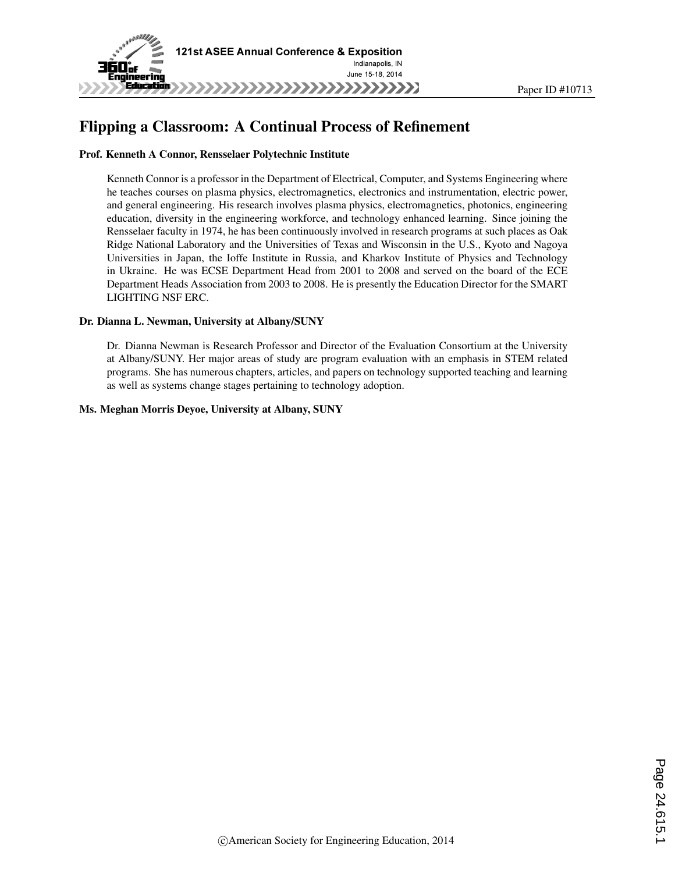

# Flipping a Classroom: A Continual Process of Refinement

#### Prof. Kenneth A Connor, Rensselaer Polytechnic Institute

Kenneth Connor is a professor in the Department of Electrical, Computer, and Systems Engineering where he teaches courses on plasma physics, electromagnetics, electronics and instrumentation, electric power, and general engineering. His research involves plasma physics, electromagnetics, photonics, engineering education, diversity in the engineering workforce, and technology enhanced learning. Since joining the Rensselaer faculty in 1974, he has been continuously involved in research programs at such places as Oak Ridge National Laboratory and the Universities of Texas and Wisconsin in the U.S., Kyoto and Nagoya Universities in Japan, the Ioffe Institute in Russia, and Kharkov Institute of Physics and Technology in Ukraine. He was ECSE Department Head from 2001 to 2008 and served on the board of the ECE Department Heads Association from 2003 to 2008. He is presently the Education Director for the SMART LIGHTING NSF ERC.

#### Dr. Dianna L. Newman, University at Albany/SUNY

Dr. Dianna Newman is Research Professor and Director of the Evaluation Consortium at the University at Albany/SUNY. Her major areas of study are program evaluation with an emphasis in STEM related programs. She has numerous chapters, articles, and papers on technology supported teaching and learning as well as systems change stages pertaining to technology adoption.

#### Ms. Meghan Morris Deyoe, University at Albany, SUNY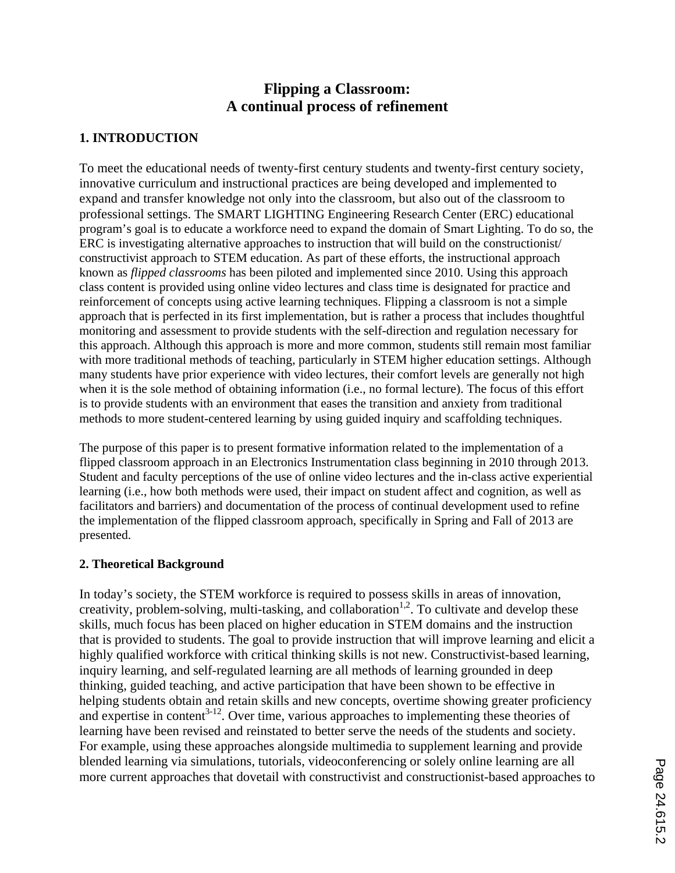# **Flipping a Classroom: A continual process of refinement**

## **1. INTRODUCTION**

To meet the educational needs of twenty-first century students and twenty-first century society, innovative curriculum and instructional practices are being developed and implemented to expand and transfer knowledge not only into the classroom, but also out of the classroom to professional settings. The SMART LIGHTING Engineering Research Center (ERC) educational program's goal is to educate a workforce need to expand the domain of Smart Lighting. To do so, the ERC is investigating alternative approaches to instruction that will build on the constructionist/ constructivist approach to STEM education. As part of these efforts, the instructional approach known as *flipped classrooms* has been piloted and implemented since 2010. Using this approach class content is provided using online video lectures and class time is designated for practice and reinforcement of concepts using active learning techniques. Flipping a classroom is not a simple approach that is perfected in its first implementation, but is rather a process that includes thoughtful monitoring and assessment to provide students with the self-direction and regulation necessary for this approach. Although this approach is more and more common, students still remain most familiar with more traditional methods of teaching, particularly in STEM higher education settings. Although many students have prior experience with video lectures, their comfort levels are generally not high when it is the sole method of obtaining information (i.e., no formal lecture). The focus of this effort is to provide students with an environment that eases the transition and anxiety from traditional methods to more student-centered learning by using guided inquiry and scaffolding techniques.

The purpose of this paper is to present formative information related to the implementation of a flipped classroom approach in an Electronics Instrumentation class beginning in 2010 through 2013. Student and faculty perceptions of the use of online video lectures and the in-class active experiential learning (i.e., how both methods were used, their impact on student affect and cognition, as well as facilitators and barriers) and documentation of the process of continual development used to refine the implementation of the flipped classroom approach, specifically in Spring and Fall of 2013 are presented.

## **2. Theoretical Background**

In today's society, the STEM workforce is required to possess skills in areas of innovation, creativity, problem-solving, multi-tasking, and collaboration<sup>1,2</sup>. To cultivate and develop these skills, much focus has been placed on higher education in STEM domains and the instruction that is provided to students. The goal to provide instruction that will improve learning and elicit a highly qualified workforce with critical thinking skills is not new. Constructivist-based learning, inquiry learning, and self-regulated learning are all methods of learning grounded in deep thinking, guided teaching, and active participation that have been shown to be effective in helping students obtain and retain skills and new concepts, overtime showing greater proficiency and expertise in content<sup>3-12</sup>. Over time, various approaches to implementing these theories of learning have been revised and reinstated to better serve the needs of the students and society. For example, using these approaches alongside multimedia to supplement learning and provide blended learning via simulations, tutorials, videoconferencing or solely online learning are all more current approaches that dovetail with constructivist and constructionist-based approaches to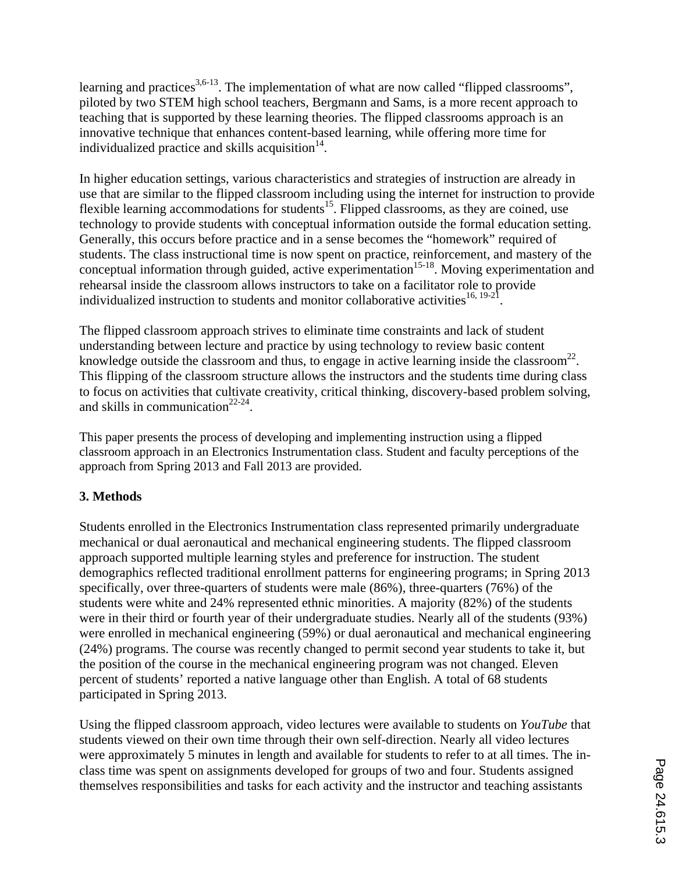learning and practices<sup>3,6-13</sup>. The implementation of what are now called "flipped classrooms", piloted by two STEM high school teachers, Bergmann and Sams, is a more recent approach to teaching that is supported by these learning theories. The flipped classrooms approach is an innovative technique that enhances content-based learning, while offering more time for individualized practice and skills acquisition $14$ .

In higher education settings, various characteristics and strategies of instruction are already in use that are similar to the flipped classroom including using the internet for instruction to provide flexible learning accommodations for students<sup>15</sup>. Flipped classrooms, as they are coined, use technology to provide students with conceptual information outside the formal education setting. Generally, this occurs before practice and in a sense becomes the "homework" required of students. The class instructional time is now spent on practice, reinforcement, and mastery of the conceptual information through guided, active experimentation<sup>15-18</sup>. Moving experimentation and rehearsal inside the classroom allows instructors to take on a facilitator role to provide individualized instruction to students and monitor collaborative activities $^{16, 19-21}$ .

The flipped classroom approach strives to eliminate time constraints and lack of student understanding between lecture and practice by using technology to review basic content knowledge outside the classroom and thus, to engage in active learning inside the classroom<sup>22</sup>. This flipping of the classroom structure allows the instructors and the students time during class to focus on activities that cultivate creativity, critical thinking, discovery-based problem solving, and skills in communication<sup>22-24</sup>.

This paper presents the process of developing and implementing instruction using a flipped classroom approach in an Electronics Instrumentation class. Student and faculty perceptions of the approach from Spring 2013 and Fall 2013 are provided.

# **3. Methods**

Students enrolled in the Electronics Instrumentation class represented primarily undergraduate mechanical or dual aeronautical and mechanical engineering students. The flipped classroom approach supported multiple learning styles and preference for instruction. The student demographics reflected traditional enrollment patterns for engineering programs; in Spring 2013 specifically, over three-quarters of students were male (86%), three-quarters (76%) of the students were white and 24% represented ethnic minorities. A majority (82%) of the students were in their third or fourth year of their undergraduate studies. Nearly all of the students (93%) were enrolled in mechanical engineering (59%) or dual aeronautical and mechanical engineering (24%) programs. The course was recently changed to permit second year students to take it, but the position of the course in the mechanical engineering program was not changed. Eleven percent of students' reported a native language other than English. A total of 68 students participated in Spring 2013.

Using the flipped classroom approach, video lectures were available to students on *YouTube* that students viewed on their own time through their own self-direction. Nearly all video lectures were approximately 5 minutes in length and available for students to refer to at all times. The inclass time was spent on assignments developed for groups of two and four. Students assigned themselves responsibilities and tasks for each activity and the instructor and teaching assistants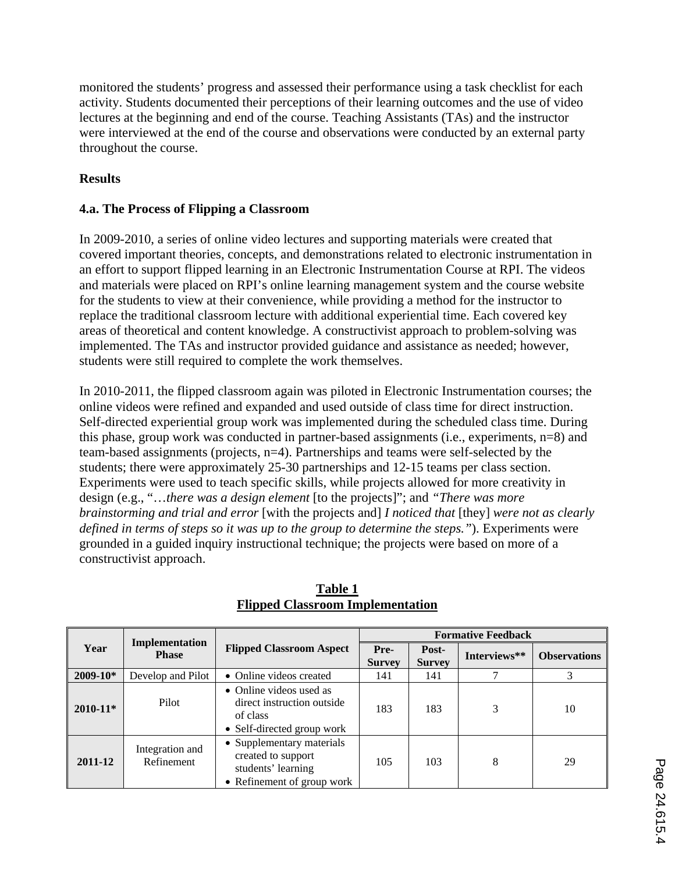monitored the students' progress and assessed their performance using a task checklist for each activity. Students documented their perceptions of their learning outcomes and the use of video lectures at the beginning and end of the course. Teaching Assistants (TAs) and the instructor were interviewed at the end of the course and observations were conducted by an external party throughout the course.

# **Results**

# **4.a. The Process of Flipping a Classroom**

In 2009-2010, a series of online video lectures and supporting materials were created that covered important theories, concepts, and demonstrations related to electronic instrumentation in an effort to support flipped learning in an Electronic Instrumentation Course at RPI. The videos and materials were placed on RPI's online learning management system and the course website for the students to view at their convenience, while providing a method for the instructor to replace the traditional classroom lecture with additional experiential time. Each covered key areas of theoretical and content knowledge. A constructivist approach to problem-solving was implemented. The TAs and instructor provided guidance and assistance as needed; however, students were still required to complete the work themselves.

In 2010-2011, the flipped classroom again was piloted in Electronic Instrumentation courses; the online videos were refined and expanded and used outside of class time for direct instruction. Self-directed experiential group work was implemented during the scheduled class time. During this phase, group work was conducted in partner-based assignments (i.e., experiments, n=8) and team-based assignments (projects, n=4). Partnerships and teams were self-selected by the students; there were approximately 25-30 partnerships and 12-15 teams per class section. Experiments were used to teach specific skills, while projects allowed for more creativity in design (e.g., "…*there was a design element* [to the projects]"; and *"There was more brainstorming and trial and error* [with the projects and] *I noticed that* [they] *were not as clearly defined in terms of steps so it was up to the group to determine the steps."*). Experiments were grounded in a guided inquiry instructional technique; the projects were based on more of a constructivist approach.

|              |                                | <b>Flipped Classroom Aspect</b>                                                                     | <b>Formative Feedback</b> |                        |              |                     |
|--------------|--------------------------------|-----------------------------------------------------------------------------------------------------|---------------------------|------------------------|--------------|---------------------|
| Year         | Implementation<br><b>Phase</b> |                                                                                                     | Pre-<br><b>Survey</b>     | Post-<br><b>Survey</b> | Interviews** | <b>Observations</b> |
| $2009 - 10*$ | Develop and Pilot              | • Online videos created                                                                             | 141                       | 141                    |              | 3                   |
| $2010 - 11*$ | Pilot                          | • Online videos used as<br>direct instruction outside<br>of class<br>• Self-directed group work     | 183                       | 183                    | 3            | 10                  |
| 2011-12      | Integration and<br>Refinement  | • Supplementary materials<br>created to support<br>students' learning<br>• Refinement of group work | 105                       | 103                    | 8            | 29                  |

**Table 1 Flipped Classroom Implementation**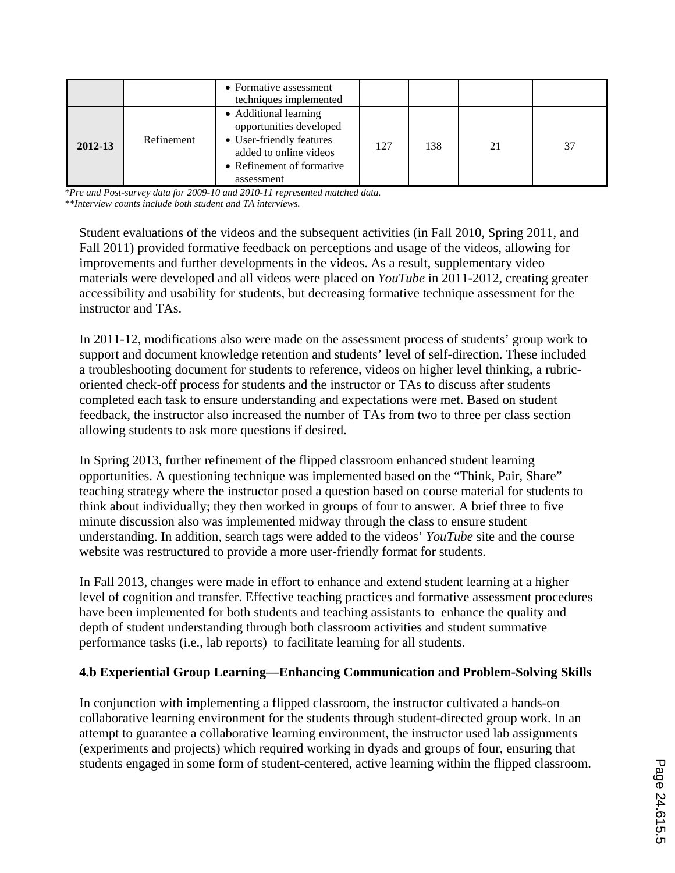|         |            | • Formative assessment<br>techniques implemented                                                                                                  |     |     |    |    |
|---------|------------|---------------------------------------------------------------------------------------------------------------------------------------------------|-----|-----|----|----|
| 2012-13 | Refinement | • Additional learning<br>opportunities developed<br>• User-friendly features<br>added to online videos<br>• Refinement of formative<br>assessment | 127 | 138 | 21 | 37 |

*\*Pre and Post-survey data for 2009-10 and 2010-11 represented matched data. \*\*Interview counts include both student and TA interviews.*

Student evaluations of the videos and the subsequent activities (in Fall 2010, Spring 2011, and Fall 2011) provided formative feedback on perceptions and usage of the videos, allowing for improvements and further developments in the videos. As a result, supplementary video materials were developed and all videos were placed on *YouTube* in 2011-2012, creating greater accessibility and usability for students, but decreasing formative technique assessment for the instructor and TAs.

In 2011-12, modifications also were made on the assessment process of students' group work to support and document knowledge retention and students' level of self-direction. These included a troubleshooting document for students to reference, videos on higher level thinking, a rubricoriented check-off process for students and the instructor or TAs to discuss after students completed each task to ensure understanding and expectations were met. Based on student feedback, the instructor also increased the number of TAs from two to three per class section allowing students to ask more questions if desired.

In Spring 2013, further refinement of the flipped classroom enhanced student learning opportunities. A questioning technique was implemented based on the "Think, Pair, Share" teaching strategy where the instructor posed a question based on course material for students to think about individually; they then worked in groups of four to answer. A brief three to five minute discussion also was implemented midway through the class to ensure student understanding. In addition, search tags were added to the videos' *YouTube* site and the course website was restructured to provide a more user-friendly format for students.

In Fall 2013, changes were made in effort to enhance and extend student learning at a higher level of cognition and transfer. Effective teaching practices and formative assessment procedures have been implemented for both students and teaching assistants to enhance the quality and depth of student understanding through both classroom activities and student summative performance tasks (i.e., lab reports) to facilitate learning for all students.

# **4.b Experiential Group Learning—Enhancing Communication and Problem-Solving Skills**

In conjunction with implementing a flipped classroom, the instructor cultivated a hands-on collaborative learning environment for the students through student-directed group work. In an attempt to guarantee a collaborative learning environment, the instructor used lab assignments (experiments and projects) which required working in dyads and groups of four, ensuring that students engaged in some form of student-centered, active learning within the flipped classroom.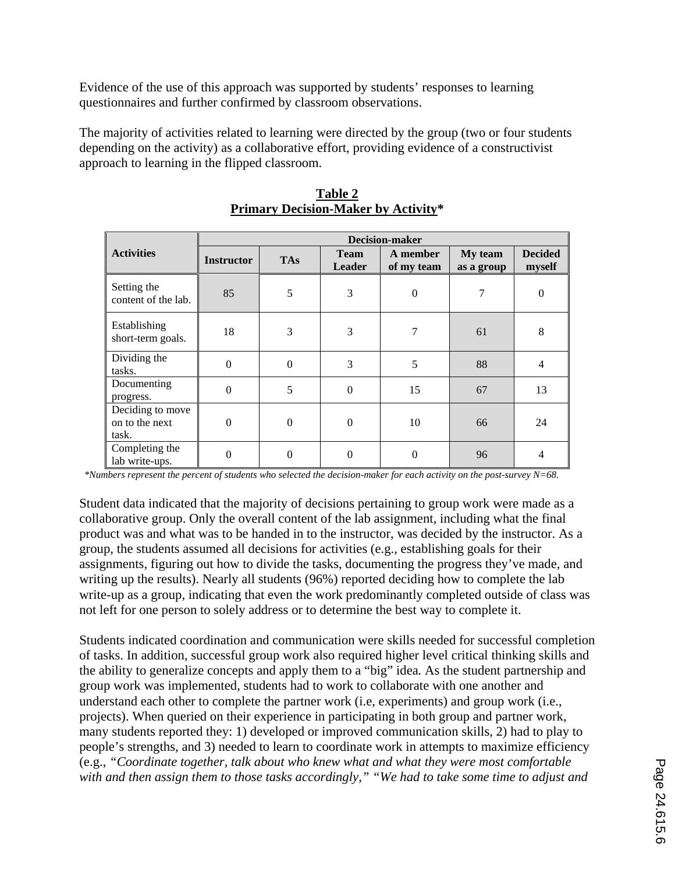Evidence of the use of this approach was supported by students' responses to learning questionnaires and further confirmed by classroom observations.

The majority of activities related to learning were directed by the group (two or four students depending on the activity) as a collaborative effort, providing evidence of a constructivist approach to learning in the flipped classroom.

|                                             | <b>Decision-maker</b> |            |                              |                        |                       |                          |
|---------------------------------------------|-----------------------|------------|------------------------------|------------------------|-----------------------|--------------------------|
| <b>Activities</b>                           | <b>Instructor</b>     | <b>TAs</b> | <b>Team</b><br><b>Leader</b> | A member<br>of my team | My team<br>as a group | <b>Decided</b><br>myself |
| Setting the<br>content of the lab.          | 85                    | 5          | 3                            | $\theta$               | 7                     | $\theta$                 |
| Establishing<br>short-term goals.           | 18                    | 3          | 3                            | 7                      | 61                    | 8                        |
| Dividing the<br>tasks.                      | $\Omega$              | $\theta$   | 3                            | 5                      | 88                    | $\overline{4}$           |
| Documenting<br>progress.                    | $\Omega$              | 5          | $\Omega$                     | 15                     | 67                    | 13                       |
| Deciding to move<br>on to the next<br>task. | $\Omega$              | $\theta$   | $\Omega$                     | 10                     | 66                    | 24                       |
| Completing the<br>lab write-ups.            | 0                     | 0          | $\Omega$                     | $\Omega$               | 96                    | $\overline{4}$           |

| Table 2                                    |
|--------------------------------------------|
| <b>Primary Decision-Maker by Activity*</b> |

*\*Numbers represent the percent of students who selected the decision-maker for each activity on the post-survey N=68.*

Student data indicated that the majority of decisions pertaining to group work were made as a collaborative group. Only the overall content of the lab assignment, including what the final product was and what was to be handed in to the instructor, was decided by the instructor. As a group, the students assumed all decisions for activities (e.g., establishing goals for their assignments, figuring out how to divide the tasks, documenting the progress they've made, and writing up the results). Nearly all students (96%) reported deciding how to complete the lab write-up as a group, indicating that even the work predominantly completed outside of class was not left for one person to solely address or to determine the best way to complete it.

Students indicated coordination and communication were skills needed for successful completion of tasks. In addition, successful group work also required higher level critical thinking skills and the ability to generalize concepts and apply them to a "big" idea*.* As the student partnership and group work was implemented, students had to work to collaborate with one another and understand each other to complete the partner work (i.e, experiments) and group work (i.e., projects). When queried on their experience in participating in both group and partner work, many students reported they: 1) developed or improved communication skills, 2) had to play to people's strengths, and 3) needed to learn to coordinate work in attempts to maximize efficiency (e.g., *"Coordinate together, talk about who knew what and what they were most comfortable with and then assign them to those tasks accordingly," "We had to take some time to adjust and*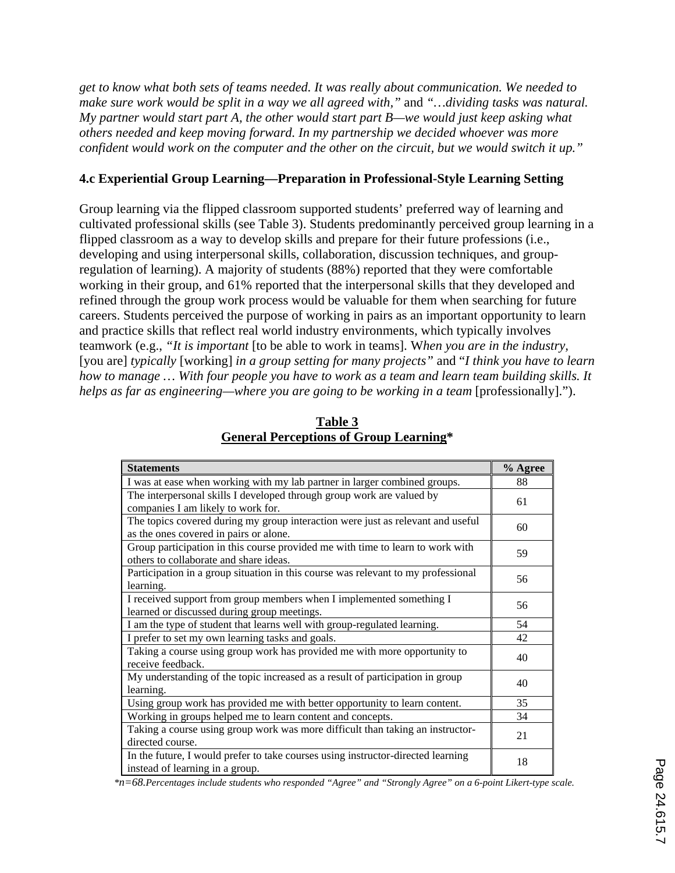*get to know what both sets of teams needed. It was really about communication. We needed to make sure work would be split in a way we all agreed with,"* and *"…dividing tasks was natural. My partner would start part A, the other would start part B—we would just keep asking what others needed and keep moving forward. In my partnership we decided whoever was more confident would work on the computer and the other on the circuit, but we would switch it up."*

#### **4.c Experiential Group Learning—Preparation in Professional-Style Learning Setting**

Group learning via the flipped classroom supported students' preferred way of learning and cultivated professional skills (see Table 3). Students predominantly perceived group learning in a flipped classroom as a way to develop skills and prepare for their future professions (i.e., developing and using interpersonal skills, collaboration, discussion techniques, and groupregulation of learning). A majority of students (88%) reported that they were comfortable working in their group, and 61% reported that the interpersonal skills that they developed and refined through the group work process would be valuable for them when searching for future careers. Students perceived the purpose of working in pairs as an important opportunity to learn and practice skills that reflect real world industry environments, which typically involves teamwork (e.g., *"It is important* [to be able to work in teams]. W*hen you are in the industry,* [you are] *typically* [working] *in a group setting for many projects"* and "*I think you have to learn how to manage … With four people you have to work as a team and learn team building skills. It helps as far as engineering—where you are going to be working in a team [professionally].").* 

| <b>Statements</b>                                                                                                         | % Agree |
|---------------------------------------------------------------------------------------------------------------------------|---------|
| I was at ease when working with my lab partner in larger combined groups.                                                 | 88      |
| The interpersonal skills I developed through group work are valued by<br>companies I am likely to work for.               | 61      |
| The topics covered during my group interaction were just as relevant and useful<br>as the ones covered in pairs or alone. | 60      |
| Group participation in this course provided me with time to learn to work with<br>others to collaborate and share ideas.  | 59      |
| Participation in a group situation in this course was relevant to my professional<br>learning.                            | 56      |
| I received support from group members when I implemented something I<br>learned or discussed during group meetings.       | 56      |
| I am the type of student that learns well with group-regulated learning.                                                  | 54      |
| I prefer to set my own learning tasks and goals.                                                                          | 42      |
| Taking a course using group work has provided me with more opportunity to<br>receive feedback.                            | 40      |
| My understanding of the topic increased as a result of participation in group<br>learning.                                | 40      |
| Using group work has provided me with better opportunity to learn content.                                                | 35      |
| Working in groups helped me to learn content and concepts.                                                                | 34      |
| Taking a course using group work was more difficult than taking an instructor-<br>directed course.                        | 21      |
| In the future, I would prefer to take courses using instructor-directed learning<br>instead of learning in a group.       | 18      |

**Table 3 General Perceptions of Group Learning\***

*\*n=68.Percentages include students who responded "Agree" and "Strongly Agree" on a 6-point Likert-type scale.*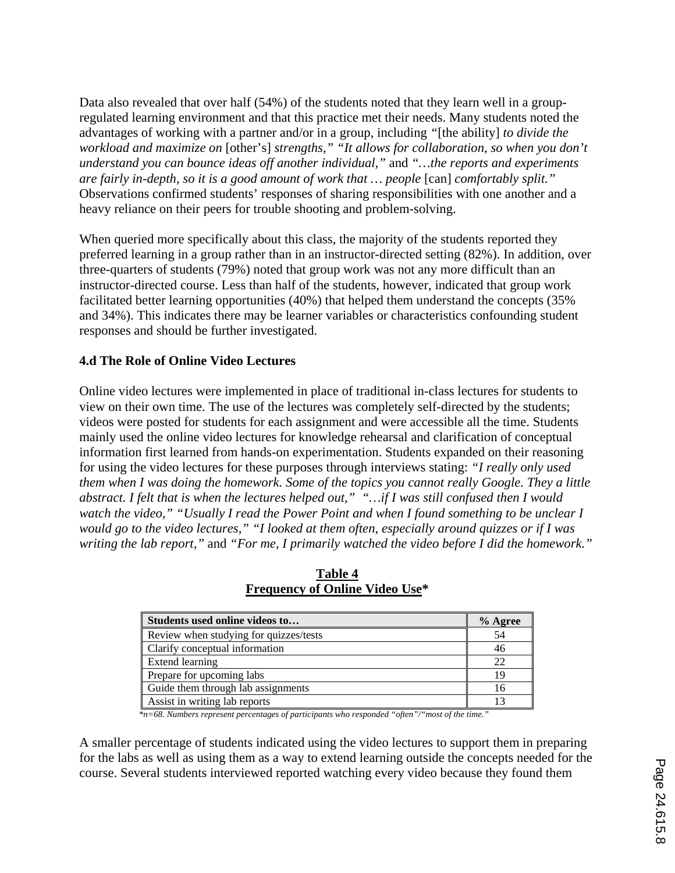Data also revealed that over half (54%) of the students noted that they learn well in a groupregulated learning environment and that this practice met their needs. Many students noted the advantages of working with a partner and/or in a group, including *"*[the ability] *to divide the workload and maximize on* [other's] *strengths," "It allows for collaboration, so when you don't understand you can bounce ideas off another individual,"* and *"…the reports and experiments are fairly in-depth, so it is a good amount of work that … people* [can] *comfortably split."* Observations confirmed students' responses of sharing responsibilities with one another and a heavy reliance on their peers for trouble shooting and problem-solving.

When queried more specifically about this class, the majority of the students reported they preferred learning in a group rather than in an instructor-directed setting (82%). In addition, over three-quarters of students (79%) noted that group work was not any more difficult than an instructor-directed course. Less than half of the students, however, indicated that group work facilitated better learning opportunities (40%) that helped them understand the concepts (35% and 34%). This indicates there may be learner variables or characteristics confounding student responses and should be further investigated.

## **4.d The Role of Online Video Lectures**

Online video lectures were implemented in place of traditional in-class lectures for students to view on their own time. The use of the lectures was completely self-directed by the students; videos were posted for students for each assignment and were accessible all the time. Students mainly used the online video lectures for knowledge rehearsal and clarification of conceptual information first learned from hands-on experimentation. Students expanded on their reasoning for using the video lectures for these purposes through interviews stating: *"I really only used them when I was doing the homework. Some of the topics you cannot really Google. They a little abstract. I felt that is when the lectures helped out," "…if I was still confused then I would watch the video," "Usually I read the Power Point and when I found something to be unclear I would go to the video lectures," "I looked at them often, especially around quizzes or if I was writing the lab report,"* and *"For me, I primarily watched the video before I did the homework."*

| Students used online videos to         | $%$ Agree |
|----------------------------------------|-----------|
| Review when studying for quizzes/tests | 54        |
| Clarify conceptual information         | 46        |
| Extend learning                        | 22        |
| Prepare for upcoming labs              | 19        |
| Guide them through lab assignments     | 16        |
| Assist in writing lab reports          |           |

| Table 4                               |  |
|---------------------------------------|--|
| <b>Frequency of Online Video Use*</b> |  |

*\*n=68. Numbers represent percentages of participants who responded "often"/"most of the time."*

A smaller percentage of students indicated using the video lectures to support them in preparing for the labs as well as using them as a way to extend learning outside the concepts needed for the course. Several students interviewed reported watching every video because they found them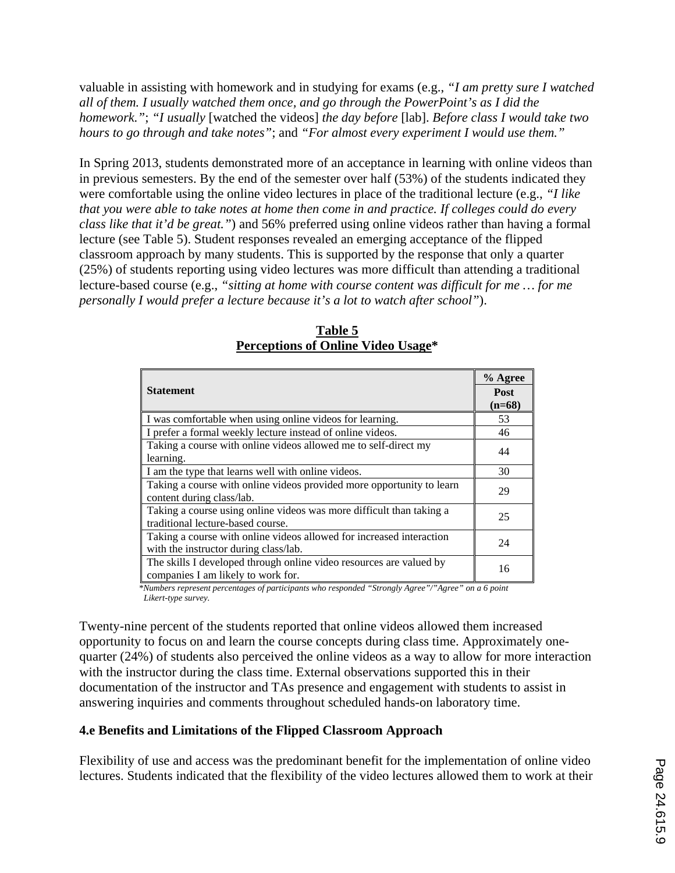valuable in assisting with homework and in studying for exams (e.g., *"I am pretty sure I watched all of them. I usually watched them once, and go through the PowerPoint's as I did the homework."*; *"I usually* [watched the videos] *the day before* [lab]. *Before class I would take two hours to go through and take notes"*; and *"For almost every experiment I would use them."*

In Spring 2013, students demonstrated more of an acceptance in learning with online videos than in previous semesters. By the end of the semester over half (53%) of the students indicated they were comfortable using the online video lectures in place of the traditional lecture (e.g., *"I like that you were able to take notes at home then come in and practice. If colleges could do every class like that it'd be great."*) and 56% preferred using online videos rather than having a formal lecture (see Table 5). Student responses revealed an emerging acceptance of the flipped classroom approach by many students. This is supported by the response that only a quarter (25%) of students reporting using video lectures was more difficult than attending a traditional lecture-based course (e.g., *"sitting at home with course content was difficult for me … for me personally I would prefer a lecture because it's a lot to watch after school"*).

| <b>Statement</b>                                                                                              | % Agree<br>Post<br>$(n=68)$ |
|---------------------------------------------------------------------------------------------------------------|-----------------------------|
| I was comfortable when using online videos for learning.                                                      | 53                          |
| I prefer a formal weekly lecture instead of online videos.                                                    | 46                          |
| Taking a course with online videos allowed me to self-direct my<br>learning.                                  | 44                          |
| I am the type that learns well with online videos.                                                            | 30                          |
| Taking a course with online videos provided more opportunity to learn<br>content during class/lab.            | 29                          |
| Taking a course using online videos was more difficult than taking a<br>traditional lecture-based course.     | 25                          |
| Taking a course with online videos allowed for increased interaction<br>with the instructor during class/lab. | 24                          |
| The skills I developed through online video resources are valued by<br>companies I am likely to work for.     | 16                          |

**Table 5 Perceptions of Online Video Usage\***

*\*Numbers represent percentages of participants who responded "Strongly Agree"/"Agree" on a 6 point Likert-type survey.*

Twenty-nine percent of the students reported that online videos allowed them increased opportunity to focus on and learn the course concepts during class time. Approximately onequarter (24%) of students also perceived the online videos as a way to allow for more interaction with the instructor during the class time. External observations supported this in their documentation of the instructor and TAs presence and engagement with students to assist in answering inquiries and comments throughout scheduled hands-on laboratory time.

# **4.e Benefits and Limitations of the Flipped Classroom Approach**

Flexibility of use and access was the predominant benefit for the implementation of online video lectures. Students indicated that the flexibility of the video lectures allowed them to work at their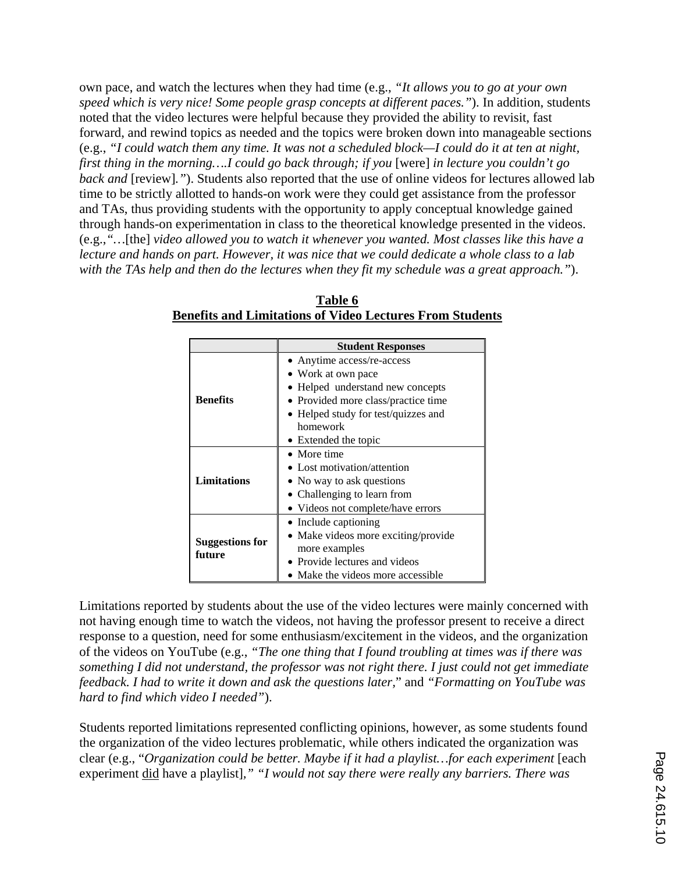own pace, and watch the lectures when they had time (e.g., *"It allows you to go at your own speed which is very nice! Some people grasp concepts at different paces."*). In addition, students noted that the video lectures were helpful because they provided the ability to revisit, fast forward, and rewind topics as needed and the topics were broken down into manageable sections (e.g., *"I could watch them any time. It was not a scheduled block—I could do it at ten at night, first thing in the morning….I could go back through; if you* [were] *in lecture you couldn't go back and* [review]*."*). Students also reported that the use of online videos for lectures allowed lab time to be strictly allotted to hands-on work were they could get assistance from the professor and TAs, thus providing students with the opportunity to apply conceptual knowledge gained through hands-on experimentation in class to the theoretical knowledge presented in the videos. (e.g.,*"…*[the] *video allowed you to watch it whenever you wanted. Most classes like this have a lecture and hands on part. However, it was nice that we could dedicate a whole class to a lab with the TAs help and then do the lectures when they fit my schedule was a great approach."*).

|                                  | <b>Student Responses</b>                                                |  |  |  |
|----------------------------------|-------------------------------------------------------------------------|--|--|--|
|                                  | • Anytime access/re-access                                              |  |  |  |
|                                  | • Work at own pace                                                      |  |  |  |
|                                  | • Helped understand new concepts<br>• Provided more class/practice time |  |  |  |
| <b>Benefits</b>                  |                                                                         |  |  |  |
|                                  | • Helped study for test/quizzes and                                     |  |  |  |
|                                  | homework                                                                |  |  |  |
|                                  | • Extended the topic                                                    |  |  |  |
|                                  | • More time                                                             |  |  |  |
|                                  | • Lost motivation/attention                                             |  |  |  |
| <b>Limitations</b>               | • No way to ask questions                                               |  |  |  |
|                                  | • Challenging to learn from                                             |  |  |  |
|                                  | • Videos not complete/have errors                                       |  |  |  |
|                                  | • Include captioning                                                    |  |  |  |
|                                  | • Make videos more exciting/provide                                     |  |  |  |
| <b>Suggestions for</b><br>future | more examples                                                           |  |  |  |
|                                  | Provide lectures and videos                                             |  |  |  |
|                                  | • Make the videos more accessible                                       |  |  |  |

**Table 6 Benefits and Limitations of Video Lectures From Students**

Limitations reported by students about the use of the video lectures were mainly concerned with not having enough time to watch the videos, not having the professor present to receive a direct response to a question, need for some enthusiasm/excitement in the videos, and the organization of the videos on YouTube (e.g., *"The one thing that I found troubling at times was if there was something I did not understand, the professor was not right there. I just could not get immediate feedback. I had to write it down and ask the questions later,*" and *"Formatting on YouTube was hard to find which video I needed"*).

Students reported limitations represented conflicting opinions, however, as some students found the organization of the video lectures problematic, while others indicated the organization was clear (e.g., "*Organization could be better. Maybe if it had a playlist…for each experiment* [each experiment did have a playlist]*," "I would not say there were really any barriers. There was*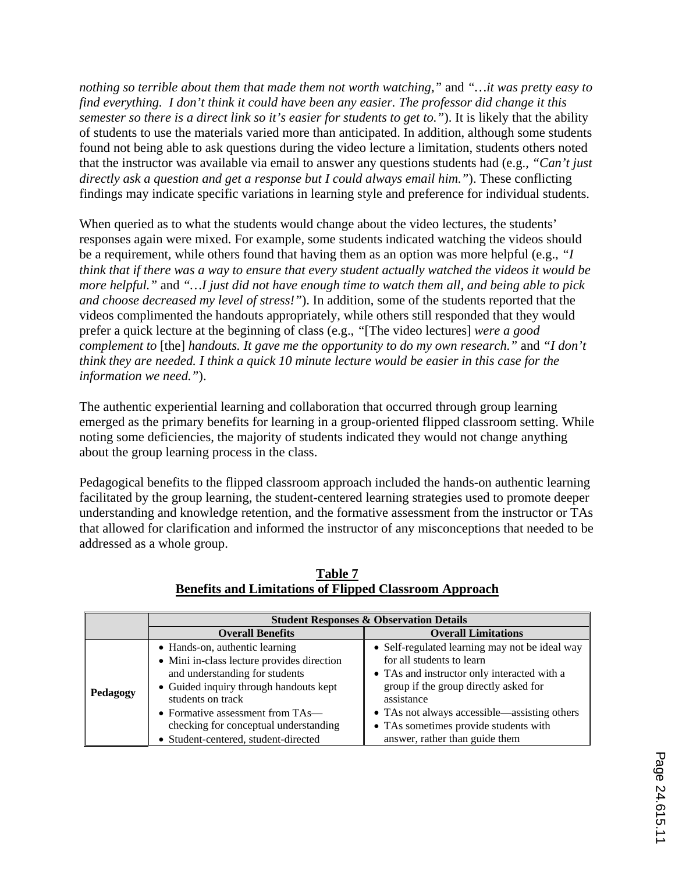*nothing so terrible about them that made them not worth watching,"* and *"…it was pretty easy to find everything. I don't think it could have been any easier. The professor did change it this semester so there is a direct link so it's easier for students to get to."*). It is likely that the ability of students to use the materials varied more than anticipated. In addition, although some students found not being able to ask questions during the video lecture a limitation, students others noted that the instructor was available via email to answer any questions students had (e.g., *"Can't just directly ask a question and get a response but I could always email him."*). These conflicting findings may indicate specific variations in learning style and preference for individual students.

When queried as to what the students would change about the video lectures, the students' responses again were mixed. For example, some students indicated watching the videos should be a requirement, while others found that having them as an option was more helpful (e.g., *"I think that if there was a way to ensure that every student actually watched the videos it would be more helpful."* and *"…I just did not have enough time to watch them all, and being able to pick and choose decreased my level of stress!"*). In addition, some of the students reported that the videos complimented the handouts appropriately, while others still responded that they would prefer a quick lecture at the beginning of class (e.g., *"*[The video lectures] *were a good complement to* [the] *handouts. It gave me the opportunity to do my own research."* and *"I don't think they are needed. I think a quick 10 minute lecture would be easier in this case for the information we need."*).

The authentic experiential learning and collaboration that occurred through group learning emerged as the primary benefits for learning in a group-oriented flipped classroom setting. While noting some deficiencies, the majority of students indicated they would not change anything about the group learning process in the class.

Pedagogical benefits to the flipped classroom approach included the hands-on authentic learning facilitated by the group learning, the student-centered learning strategies used to promote deeper understanding and knowledge retention, and the formative assessment from the instructor or TAs that allowed for clarification and informed the instructor of any misconceptions that needed to be addressed as a whole group.

|          | <b>Student Responses &amp; Observation Details</b>                                                                                                                                                                                                                                                    |                                                                                                                                                                                                                                                                                                              |  |  |
|----------|-------------------------------------------------------------------------------------------------------------------------------------------------------------------------------------------------------------------------------------------------------------------------------------------------------|--------------------------------------------------------------------------------------------------------------------------------------------------------------------------------------------------------------------------------------------------------------------------------------------------------------|--|--|
|          | <b>Overall Benefits</b>                                                                                                                                                                                                                                                                               | <b>Overall Limitations</b>                                                                                                                                                                                                                                                                                   |  |  |
| Pedagogy | • Hands-on, authentic learning<br>• Mini in-class lecture provides direction<br>and understanding for students<br>• Guided inquiry through handouts kept<br>students on track<br>• Formative assessment from $TAs$ —<br>checking for conceptual understanding<br>• Student-centered, student-directed | • Self-regulated learning may not be ideal way<br>for all students to learn<br>• TAs and instructor only interacted with a<br>group if the group directly asked for<br>assistance<br>• TAs not always accessible—assisting others<br>• TAs sometimes provide students with<br>answer, rather than guide them |  |  |

**Table 7 Benefits and Limitations of Flipped Classroom Approach**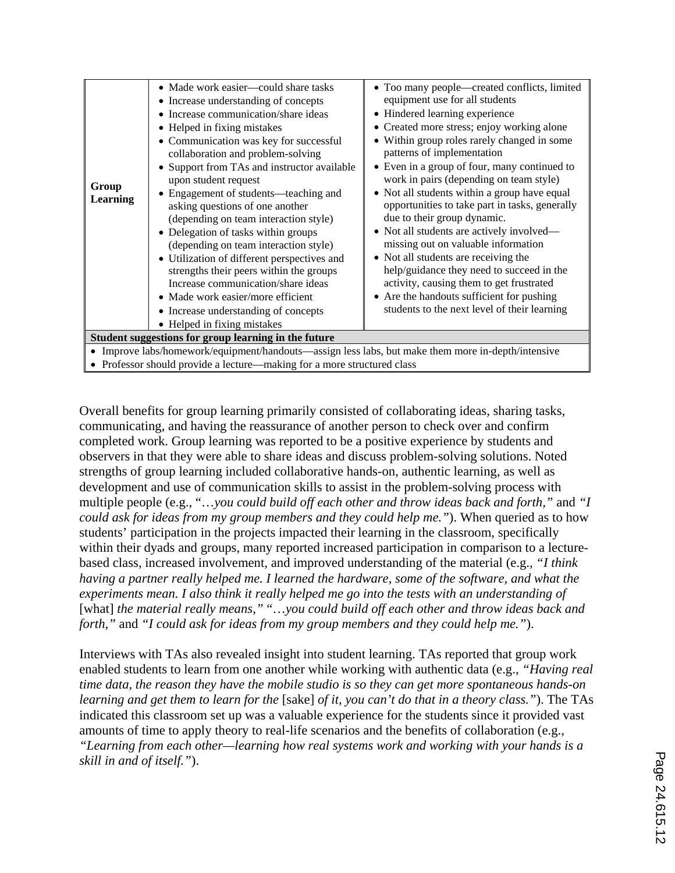| Group<br><b>Learning</b>                                                                                                                                                      | • Made work easier—could share tasks<br>• Increase understanding of concepts<br>• Increase communication/share ideas<br>• Helped in fixing mistakes<br>• Communication was key for successful<br>collaboration and problem-solving<br>• Support from TAs and instructor available<br>upon student request<br>• Engagement of students—teaching and<br>asking questions of one another<br>(depending on team interaction style)<br>• Delegation of tasks within groups<br>(depending on team interaction style)<br>• Utilization of different perspectives and<br>strengths their peers within the groups<br>Increase communication/share ideas<br>• Made work easier/more efficient<br>• Increase understanding of concepts | • Too many people—created conflicts, limited<br>equipment use for all students<br>• Hindered learning experience<br>• Created more stress; enjoy working alone<br>• Within group roles rarely changed in some<br>patterns of implementation<br>• Even in a group of four, many continued to<br>work in pairs (depending on team style)<br>• Not all students within a group have equal<br>opportunities to take part in tasks, generally<br>due to their group dynamic.<br>• Not all students are actively involved—<br>missing out on valuable information<br>• Not all students are receiving the<br>help/guidance they need to succeed in the<br>activity, causing them to get frustrated<br>• Are the handouts sufficient for pushing<br>students to the next level of their learning |  |  |
|-------------------------------------------------------------------------------------------------------------------------------------------------------------------------------|-----------------------------------------------------------------------------------------------------------------------------------------------------------------------------------------------------------------------------------------------------------------------------------------------------------------------------------------------------------------------------------------------------------------------------------------------------------------------------------------------------------------------------------------------------------------------------------------------------------------------------------------------------------------------------------------------------------------------------|-------------------------------------------------------------------------------------------------------------------------------------------------------------------------------------------------------------------------------------------------------------------------------------------------------------------------------------------------------------------------------------------------------------------------------------------------------------------------------------------------------------------------------------------------------------------------------------------------------------------------------------------------------------------------------------------------------------------------------------------------------------------------------------------|--|--|
|                                                                                                                                                                               | • Helped in fixing mistakes                                                                                                                                                                                                                                                                                                                                                                                                                                                                                                                                                                                                                                                                                                 |                                                                                                                                                                                                                                                                                                                                                                                                                                                                                                                                                                                                                                                                                                                                                                                           |  |  |
| Student suggestions for group learning in the future                                                                                                                          |                                                                                                                                                                                                                                                                                                                                                                                                                                                                                                                                                                                                                                                                                                                             |                                                                                                                                                                                                                                                                                                                                                                                                                                                                                                                                                                                                                                                                                                                                                                                           |  |  |
| • Improve labs/homework/equipment/handouts—assign less labs, but make them more in-depth/intensive<br>• Professor should provide a lecture—making for a more structured class |                                                                                                                                                                                                                                                                                                                                                                                                                                                                                                                                                                                                                                                                                                                             |                                                                                                                                                                                                                                                                                                                                                                                                                                                                                                                                                                                                                                                                                                                                                                                           |  |  |

Overall benefits for group learning primarily consisted of collaborating ideas, sharing tasks, communicating, and having the reassurance of another person to check over and confirm completed work. Group learning was reported to be a positive experience by students and observers in that they were able to share ideas and discuss problem-solving solutions. Noted strengths of group learning included collaborative hands-on, authentic learning, as well as development and use of communication skills to assist in the problem-solving process with multiple people (e.g., "…*you could build off each other and throw ideas back and forth,"* and *"I could ask for ideas from my group members and they could help me."*). When queried as to how students' participation in the projects impacted their learning in the classroom, specifically within their dyads and groups, many reported increased participation in comparison to a lecturebased class, increased involvement, and improved understanding of the material (e.g., *"I think having a partner really helped me. I learned the hardware, some of the software, and what the experiments mean. I also think it really helped me go into the tests with an understanding of*  [what] *the material really means,"* "…*you could build off each other and throw ideas back and forth,"* and *"I could ask for ideas from my group members and they could help me."*).

Interviews with TAs also revealed insight into student learning. TAs reported that group work enabled students to learn from one another while working with authentic data (e.g., *"Having real time data, the reason they have the mobile studio is so they can get more spontaneous hands-on learning and get them to learn for the* [sake] *of it, you can't do that in a theory class."*). The TAs indicated this classroom set up was a valuable experience for the students since it provided vast amounts of time to apply theory to real-life scenarios and the benefits of collaboration (e.g., *"Learning from each other—learning how real systems work and working with your hands is a skill in and of itself."*).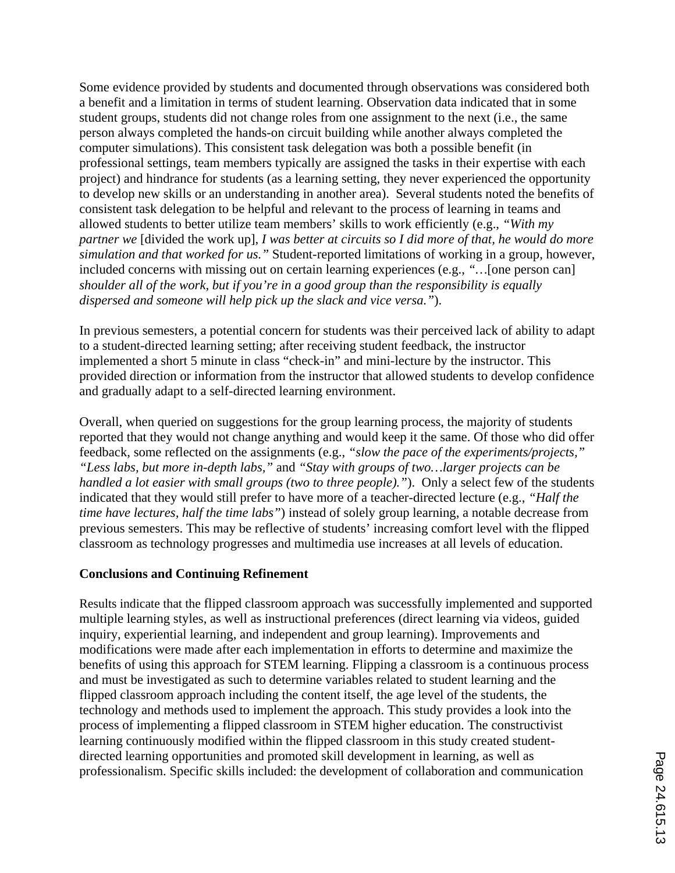Some evidence provided by students and documented through observations was considered both a benefit and a limitation in terms of student learning. Observation data indicated that in some student groups, students did not change roles from one assignment to the next (i.e., the same person always completed the hands-on circuit building while another always completed the computer simulations). This consistent task delegation was both a possible benefit (in professional settings, team members typically are assigned the tasks in their expertise with each project) and hindrance for students (as a learning setting, they never experienced the opportunity to develop new skills or an understanding in another area). Several students noted the benefits of consistent task delegation to be helpful and relevant to the process of learning in teams and allowed students to better utilize team members' skills to work efficiently (e.g., *"With my partner we* [divided the work up], *I was better at circuits so I did more of that, he would do more simulation and that worked for us."* Student-reported limitations of working in a group, however, included concerns with missing out on certain learning experiences (e.g., *"…*[one person can] *shoulder all of the work, but if you're in a good group than the responsibility is equally dispersed and someone will help pick up the slack and vice versa."*).

In previous semesters, a potential concern for students was their perceived lack of ability to adapt to a student-directed learning setting; after receiving student feedback, the instructor implemented a short 5 minute in class "check-in" and mini-lecture by the instructor. This provided direction or information from the instructor that allowed students to develop confidence and gradually adapt to a self-directed learning environment.

Overall, when queried on suggestions for the group learning process, the majority of students reported that they would not change anything and would keep it the same. Of those who did offer feedback, some reflected on the assignments (e.g., *"slow the pace of the experiments/projects," "Less labs, but more in-depth labs,"* and *"Stay with groups of two…larger projects can be handled a lot easier with small groups (two to three people).*"). Only a select few of the students indicated that they would still prefer to have more of a teacher-directed lecture (e.g., *"Half the time have lectures, half the time labs"*) instead of solely group learning, a notable decrease from previous semesters. This may be reflective of students' increasing comfort level with the flipped classroom as technology progresses and multimedia use increases at all levels of education.

#### **Conclusions and Continuing Refinement**

Results indicate that the flipped classroom approach was successfully implemented and supported multiple learning styles, as well as instructional preferences (direct learning via videos, guided inquiry, experiential learning, and independent and group learning). Improvements and modifications were made after each implementation in efforts to determine and maximize the benefits of using this approach for STEM learning. Flipping a classroom is a continuous process and must be investigated as such to determine variables related to student learning and the flipped classroom approach including the content itself, the age level of the students, the technology and methods used to implement the approach. This study provides a look into the process of implementing a flipped classroom in STEM higher education. The constructivist learning continuously modified within the flipped classroom in this study created studentdirected learning opportunities and promoted skill development in learning, as well as professionalism. Specific skills included: the development of collaboration and communication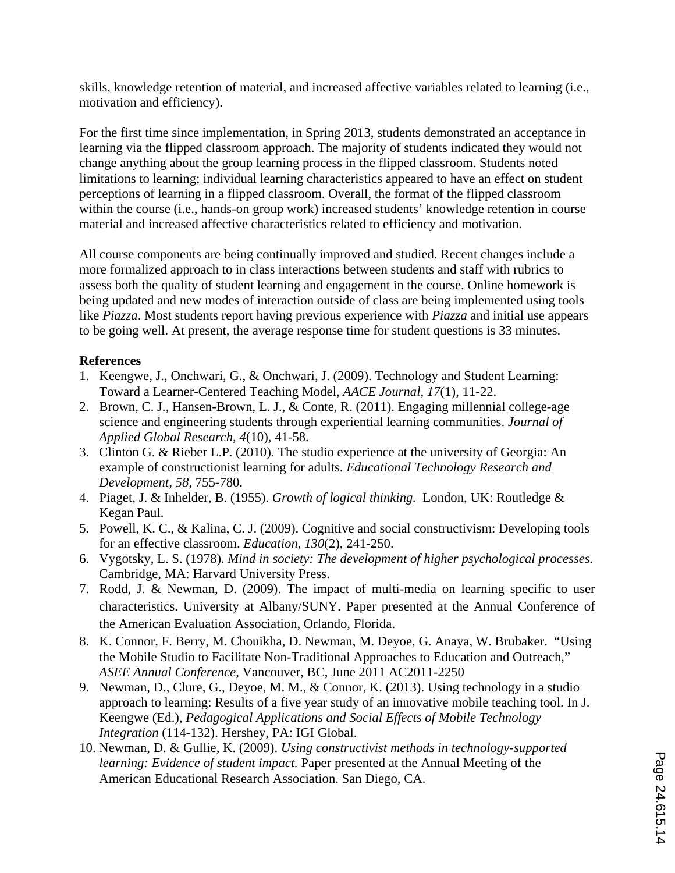skills, knowledge retention of material, and increased affective variables related to learning (i.e., motivation and efficiency).

For the first time since implementation, in Spring 2013, students demonstrated an acceptance in learning via the flipped classroom approach. The majority of students indicated they would not change anything about the group learning process in the flipped classroom. Students noted limitations to learning; individual learning characteristics appeared to have an effect on student perceptions of learning in a flipped classroom. Overall, the format of the flipped classroom within the course (i.e., hands-on group work) increased students' knowledge retention in course material and increased affective characteristics related to efficiency and motivation.

All course components are being continually improved and studied. Recent changes include a more formalized approach to in class interactions between students and staff with rubrics to assess both the quality of student learning and engagement in the course. Online homework is being updated and new modes of interaction outside of class are being implemented using tools like *Piazza*. Most students report having previous experience with *Piazza* and initial use appears to be going well. At present, the average response time for student questions is 33 minutes.

## **References**

- 1. Keengwe, J., Onchwari, G., & Onchwari, J. (2009). Technology and Student Learning: Toward a Learner-Centered Teaching Model, *AACE Journal, 17*(1), 11-22.
- 2. Brown, C. J., Hansen-Brown, L. J., & Conte, R. (2011). Engaging millennial college-age science and engineering students through experiential learning communities. *Journal of Applied Global Research, 4*(10), 41-58.
- 3. Clinton G. & Rieber L.P. (2010). The studio experience at the university of Georgia: An example of constructionist learning for adults. *Educational Technology Research and Development, 58,* 755-780.
- 4. Piaget, J. & Inhelder, B. (1955). *Growth of logical thinking.* London, UK: Routledge & Kegan Paul.
- 5. Powell, K. C., & Kalina, C. J. (2009). Cognitive and social constructivism: Developing tools for an effective classroom. *Education, 130*(2), 241-250.
- 6. Vygotsky, L. S. (1978). *Mind in society: The development of higher psychological processes.*  Cambridge, MA: Harvard University Press.
- 7. Rodd, J. & Newman, D. (2009). The impact of multi-media on learning specific to user characteristics. University at Albany/SUNY. Paper presented at the Annual Conference of the American Evaluation Association, Orlando, Florida.
- 8. K. Connor, F. Berry, M. Chouikha, D. Newman, M. Deyoe, G. Anaya, W. Brubaker. "Using the Mobile Studio to Facilitate Non-Traditional Approaches to Education and Outreach," *ASEE Annual Conference*, Vancouver, BC, June 2011 AC2011-2250
- 9. Newman, D., Clure, G., Deyoe, M. M., & Connor, K. (2013). Using technology in a studio approach to learning: Results of a five year study of an innovative mobile teaching tool. In J. Keengwe (Ed.), *Pedagogical Applications and Social Effects of Mobile Technology Integration* (114-132). Hershey, PA: IGI Global.
- 10. Newman, D. & Gullie, K. (2009). *Using constructivist methods in technology-supported learning: Evidence of student impact.* Paper presented at the Annual Meeting of the American Educational Research Association. San Diego, CA.